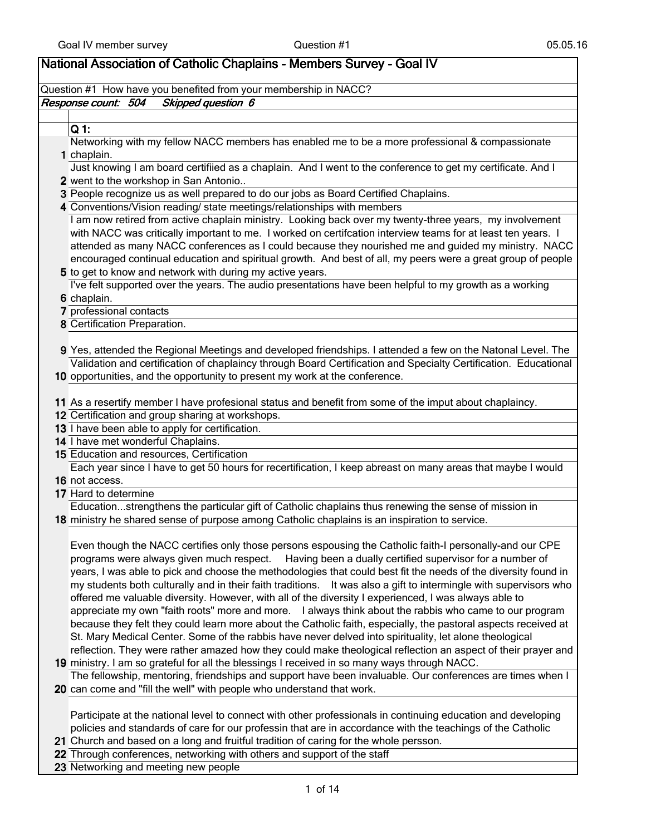| National Association of Catholic Chaplains - Members Survey - Goal IV                                             |
|-------------------------------------------------------------------------------------------------------------------|
| Question #1 How have you benefited from your membership in NACC?                                                  |
| Skipped question 6<br>Response count: 504                                                                         |
|                                                                                                                   |
| $Q1$ :                                                                                                            |
| Networking with my fellow NACC members has enabled me to be a more professional & compassionate                   |
| 1 chaplain.                                                                                                       |
| Just knowing I am board certifiied as a chaplain. And I went to the conference to get my certificate. And I       |
| 2 went to the workshop in San Antonio                                                                             |
| 3 People recognize us as well prepared to do our jobs as Board Certified Chaplains.                               |
| 4 Conventions/Vision reading/ state meetings/relationships with members                                           |
| I am now retired from active chaplain ministry. Looking back over my twenty-three years, my involvement           |
| with NACC was critically important to me. I worked on certifcation interview teams for at least ten years. I      |
| attended as many NACC conferences as I could because they nourished me and guided my ministry. NACC               |
| encouraged continual education and spiritual growth. And best of all, my peers were a great group of people       |
| 5 to get to know and network with during my active years.                                                         |
| I've felt supported over the years. The audio presentations have been helpful to my growth as a working           |
| 6 chaplain.<br>7 professional contacts                                                                            |
| 8 Certification Preparation.                                                                                      |
|                                                                                                                   |
| 9 Yes, attended the Regional Meetings and developed friendships. I attended a few on the Natonal Level. The       |
| Validation and certification of chaplaincy through Board Certification and Specialty Certification. Educational   |
| 10 opportunities, and the opportunity to present my work at the conference.                                       |
|                                                                                                                   |
| 11 As a resertify member I have profesional status and benefit from some of the imput about chaplaincy.           |
| 12 Certification and group sharing at workshops.                                                                  |
| 13 I have been able to apply for certification.                                                                   |
| 14 I have met wonderful Chaplains.                                                                                |
| 15 Education and resources, Certification                                                                         |
| Each year since I have to get 50 hours for recertification, I keep abreast on many areas that maybe I would       |
| 16 not access.                                                                                                    |
| 17 Hard to determine                                                                                              |
| Educationstrengthens the particular gift of Catholic chaplains thus renewing the sense of mission in              |
| 18 ministry he shared sense of purpose among Catholic chaplains is an inspiration to service.                     |
| Even though the NACC certifies only those persons espousing the Catholic faith-I personally-and our CPE           |
| programs were always given much respect. Having been a dually certified supervisor for a number of                |
| years, I was able to pick and choose the methodologies that could best fit the needs of the diversity found in    |
| my students both culturally and in their faith traditions. It was also a gift to intermingle with supervisors who |
| offered me valuable diversity. However, with all of the diversity I experienced, I was always able to             |
| appreciate my own "faith roots" more and more. I always think about the rabbis who came to our program            |
| because they felt they could learn more about the Catholic faith, especially, the pastoral aspects received at    |
| St. Mary Medical Center. Some of the rabbis have never delved into spirituality, let alone theological            |
| reflection. They were rather amazed how they could make theological reflection an aspect of their prayer and      |
| 19 ministry. I am so grateful for all the blessings I received in so many ways through NACC.                      |
| The fellowship, mentoring, friendships and support have been invaluable. Our conferences are times when I         |
| 20 can come and "fill the well" with people who understand that work.                                             |
|                                                                                                                   |
| Particinate at the national level to connect with other professionals in continuing education and developing      |

cipate at the national level to connect with other professionals in continuing education and developing policies and standards of care for our professin that are in accordance with the teachings of the Catholic

- 21 Church and based on a long and fruitful tradition of caring for the whole persson.
- 22 Through conferences, networking with others and support of the staff
- 23 Networking and meeting new people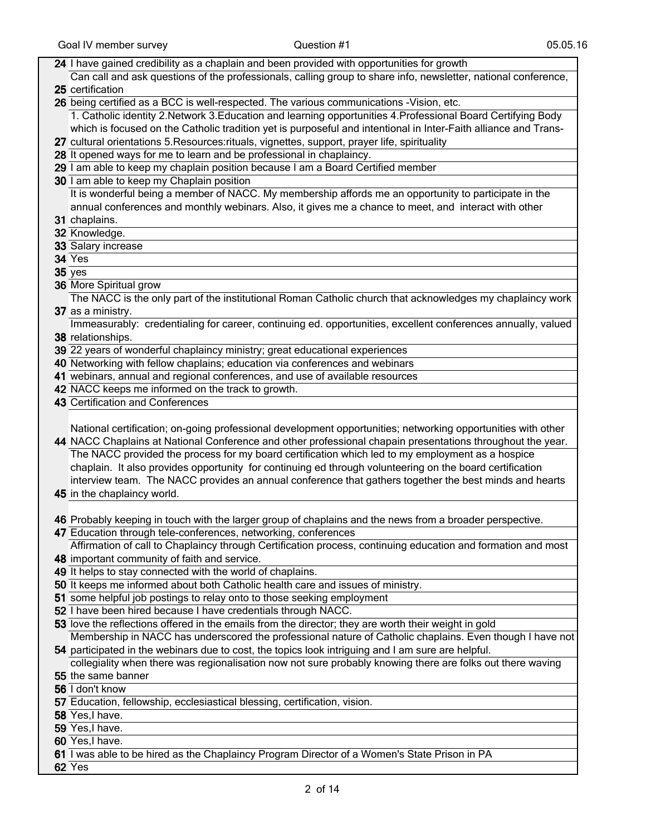| 24 I have gained credibility as a chaplain and been provided with opportunities for growth                                                                                 |
|----------------------------------------------------------------------------------------------------------------------------------------------------------------------------|
| Can call and ask questions of the professionals, calling group to share info, newsletter, national conference,                                                             |
| 25 certification                                                                                                                                                           |
| 26 being certified as a BCC is well-respected. The various communications -Vision, etc.                                                                                    |
| 1. Catholic identity 2. Network 3. Education and learning opportunities 4. Professional Board Certifying Body                                                              |
| which is focused on the Catholic tradition yet is purposeful and intentional in Inter-Faith alliance and Trans-                                                            |
| 27 cultural orientations 5. Resources: rituals, vignettes, support, prayer life, spirituality                                                                              |
| 28 It opened ways for me to learn and be professional in chaplaincy.                                                                                                       |
| 29 I am able to keep my chaplain position because I am a Board Certified member                                                                                            |
| 30 I am able to keep my Chaplain position                                                                                                                                  |
| It is wonderful being a member of NACC. My membership affords me an opportunity to participate in the                                                                      |
| annual conferences and monthly webinars. Also, it gives me a chance to meet, and interact with other                                                                       |
| 31 chaplains.                                                                                                                                                              |
| 32 Knowledge.                                                                                                                                                              |
| 33 Salary increase                                                                                                                                                         |
| 34 Yes                                                                                                                                                                     |
| $35$ yes                                                                                                                                                                   |
| 36 More Spiritual grow                                                                                                                                                     |
| The NACC is the only part of the institutional Roman Catholic church that acknowledges my chaplaincy work                                                                  |
| 37 as a ministry.                                                                                                                                                          |
| Immeasurably: credentialing for career, continuing ed. opportunities, excellent conferences annually, valued                                                               |
| 38 relationships.                                                                                                                                                          |
| 39 22 years of wonderful chaplaincy ministry; great educational experiences<br>40 Networking with fellow chaplains; education via conferences and webinars                 |
| 41 webinars, annual and regional conferences, and use of available resources                                                                                               |
| 42 NACC keeps me informed on the track to growth.                                                                                                                          |
| 43 Certification and Conferences                                                                                                                                           |
|                                                                                                                                                                            |
|                                                                                                                                                                            |
|                                                                                                                                                                            |
| National certification; on-going professional development opportunities; networking opportunities with other                                                               |
| 44 NACC Chaplains at National Conference and other professional chapain presentations throughout the year.                                                                 |
| The NACC provided the process for my board certification which led to my employment as a hospice                                                                           |
| chaplain. It also provides opportunity for continuing ed through volunteering on the board certification                                                                   |
| interview team. The NACC provides an annual conference that gathers together the best minds and hearts                                                                     |
| 45 in the chaplaincy world.                                                                                                                                                |
|                                                                                                                                                                            |
| 46 Probably keeping in touch with the larger group of chaplains and the news from a broader perspective.<br>47 Education through tele-conferences, networking, conferences |
| Affirmation of call to Chaplaincy through Certification process, continuing education and formation and most                                                               |
| 48 important community of faith and service.                                                                                                                               |
| 49 It helps to stay connected with the world of chaplains.                                                                                                                 |
| 50 It keeps me informed about both Catholic health care and issues of ministry.                                                                                            |
| 51 some helpful job postings to relay onto to those seeking employment                                                                                                     |
| 52 I have been hired because I have credentials through NACC.                                                                                                              |
| 53 love the reflections offered in the emails from the director; they are worth their weight in gold                                                                       |
| Membership in NACC has underscored the professional nature of Catholic chaplains. Even though I have not                                                                   |
| 54 participated in the webinars due to cost, the topics look intriguing and I am sure are helpful.                                                                         |
| collegiality when there was regionalisation now not sure probably knowing there are folks out there waving                                                                 |
| 55 the same banner                                                                                                                                                         |
| 56 I don't know                                                                                                                                                            |
| 57 Education, fellowship, ecclesiastical blessing, certification, vision.                                                                                                  |
| 58 Yes, I have.                                                                                                                                                            |
| 59 Yes, I have.                                                                                                                                                            |
| 60 Yes, I have.<br>61 I was able to be hired as the Chaplaincy Program Director of a Women's State Prison in PA                                                            |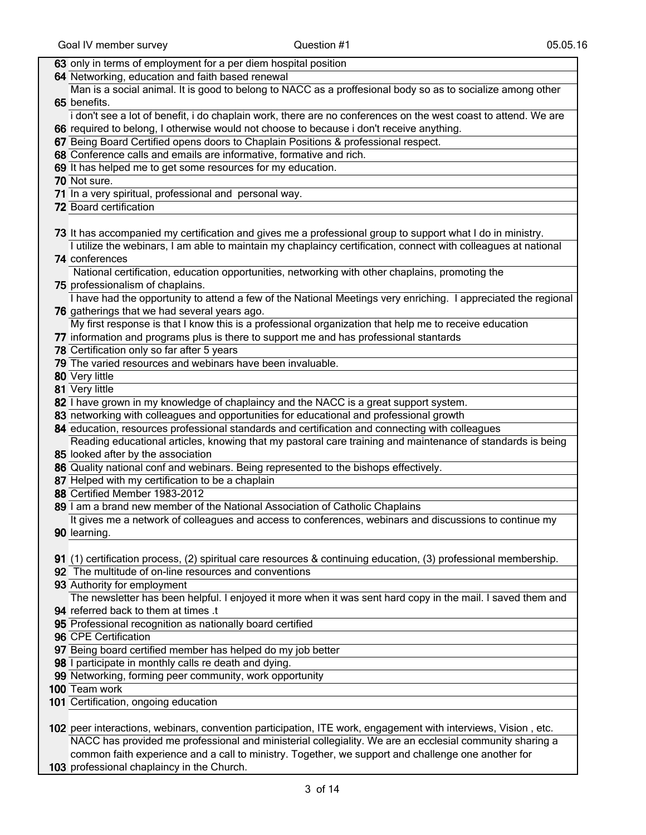| 63 only in terms of employment for a per diem hospital position                                                                                                                                               |
|---------------------------------------------------------------------------------------------------------------------------------------------------------------------------------------------------------------|
| 64 Networking, education and faith based renewal                                                                                                                                                              |
| Man is a social animal. It is good to belong to NACC as a proffesional body so as to socialize among other                                                                                                    |
| 65 benefits.                                                                                                                                                                                                  |
| i don't see a lot of benefit, i do chaplain work, there are no conferences on the west coast to attend. We are                                                                                                |
| 66 required to belong, I otherwise would not choose to because i don't receive anything.                                                                                                                      |
| 67 Being Board Certified opens doors to Chaplain Positions & professional respect.                                                                                                                            |
| 68 Conference calls and emails are informative, formative and rich.                                                                                                                                           |
| 69 It has helped me to get some resources for my education.                                                                                                                                                   |
| 70 Not sure.                                                                                                                                                                                                  |
| 71 In a very spiritual, professional and personal way.                                                                                                                                                        |
| 72 Board certification                                                                                                                                                                                        |
|                                                                                                                                                                                                               |
| 73 It has accompanied my certification and gives me a professional group to support what I do in ministry.                                                                                                    |
| I utilize the webinars, I am able to maintain my chaplaincy certification, connect with colleagues at national                                                                                                |
| 74 conferences                                                                                                                                                                                                |
| National certification, education opportunities, networking with other chaplains, promoting the                                                                                                               |
| 75 professionalism of chaplains.                                                                                                                                                                              |
| I have had the opportunity to attend a few of the National Meetings very enriching. I appreciated the regional                                                                                                |
| 76 gatherings that we had several years ago.                                                                                                                                                                  |
| My first response is that I know this is a professional organization that help me to receive education                                                                                                        |
| 77 information and programs plus is there to support me and has professional stantards                                                                                                                        |
| 78 Certification only so far after 5 years                                                                                                                                                                    |
| 79 The varied resources and webinars have been invaluable.                                                                                                                                                    |
| 80 Very little                                                                                                                                                                                                |
|                                                                                                                                                                                                               |
| 81 Very little                                                                                                                                                                                                |
| 82 Thave grown in my knowledge of chaplaincy and the NACC is a great support system.                                                                                                                          |
| 83 networking with colleagues and opportunities for educational and professional growth                                                                                                                       |
|                                                                                                                                                                                                               |
| 84 education, resources professional standards and certification and connecting with colleagues                                                                                                               |
| Reading educational articles, knowing that my pastoral care training and maintenance of standards is being                                                                                                    |
| 85 looked after by the association                                                                                                                                                                            |
| 86 Quality national conf and webinars. Being represented to the bishops effectively.                                                                                                                          |
| 87 Helped with my certification to be a chaplain                                                                                                                                                              |
| 88 Certified Member 1983-2012                                                                                                                                                                                 |
| 89 I am a brand new member of the National Association of Catholic Chaplains                                                                                                                                  |
| It gives me a network of colleagues and access to conferences, webinars and discussions to continue my                                                                                                        |
| 90 learning.                                                                                                                                                                                                  |
|                                                                                                                                                                                                               |
| 91 (1) certification process, (2) spiritual care resources & continuing education, (3) professional membership.                                                                                               |
| 92 The multitude of on-line resources and conventions                                                                                                                                                         |
| 93 Authority for employment                                                                                                                                                                                   |
| The newsletter has been helpful. I enjoyed it more when it was sent hard copy in the mail. I saved them and                                                                                                   |
| 94 referred back to them at times .t                                                                                                                                                                          |
| 95 Professional recognition as nationally board certified                                                                                                                                                     |
| 96 CPE Certification                                                                                                                                                                                          |
| 97 Being board certified member has helped do my job better                                                                                                                                                   |
| 98 I participate in monthly calls re death and dying.                                                                                                                                                         |
| 99 Networking, forming peer community, work opportunity                                                                                                                                                       |
| 100 Team work                                                                                                                                                                                                 |
| 101 Certification, ongoing education                                                                                                                                                                          |
|                                                                                                                                                                                                               |
| 102 peer interactions, webinars, convention participation, ITE work, engagement with interviews, Vision, etc.                                                                                                 |
| NACC has provided me professional and ministerial collegiality. We are an ecclesial community sharing a<br>common faith experience and a call to ministry. Together, we support and challenge one another for |

103 professional chaplaincy in the Church.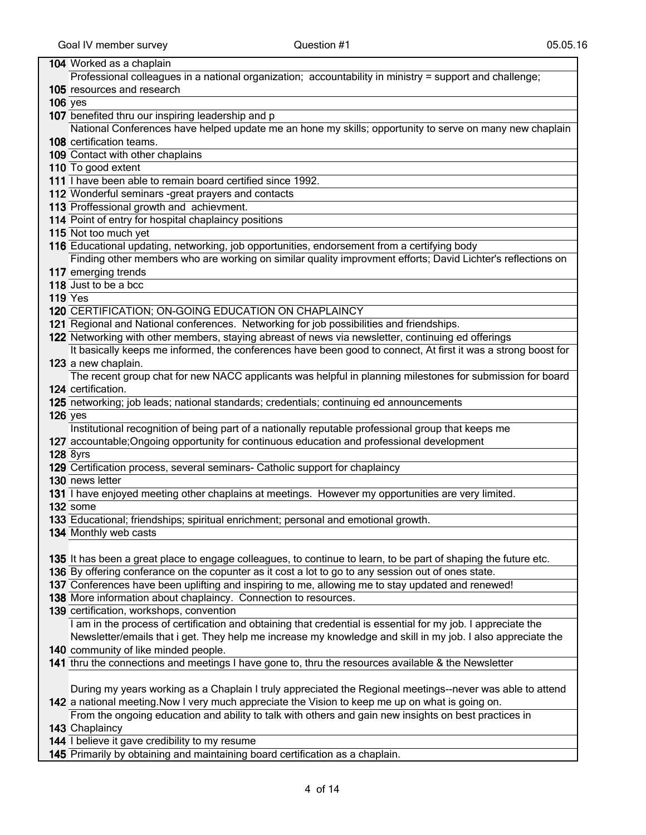## Goal IV member survey and the Compact Control of Compact Control of the Control of the Control of Control of Co 104 Worked as a chaplain 105 resources and research Professional colleagues in a national organization; accountability in ministry = support and challenge; 106 yes 107 benefited thru our inspiring leadership and p 108 certification teams. National Conferences have helped update me an hone my skills; opportunity to serve on many new chaplain 109 Contact with other chaplains 110 To good extent 111 Thave been able to remain board certified since 1992. 112 Wonderful seminars -great prayers and contacts 113 Proffessional growth and achievment. 114 Point of entry for hospital chaplaincy positions 115 Not too much yet 116 Educational updating, networking, job opportunities, endorsement from a certifying body 117 emerging trends Finding other members who are working on similar quality improvment efforts; David Lichter's reflections on 118 Just to be a bcc 119 Yes 120 CERTIFICATION; ON-GOING EDUCATION ON CHAPLAINCY 121 Regional and National conferences. Networking for job possibilities and friendships. 122 Networking with other members, staying abreast of news via newsletter, continuing ed offerings 123 a new chaplain. It basically keeps me informed, the conferences have been good to connect, At first it was a strong boost for 124 certification. The recent group chat for new NACC applicants was helpful in planning milestones for submission for board 125 networking; job leads; national standards; credentials; continuing ed announcements 126 yes 127 accountable;Ongoing opportunity for continuous education and professional development Institutional recognition of being part of a nationally reputable professional group that keeps me 128 8yrs 129 Certification process, several seminars- Catholic support for chaplaincy 130 news letter 131 I have enjoyed meeting other chaplains at meetings. However my opportunities are very limited. 132 some 133 Educational; friendships; spiritual enrichment; personal and emotional growth. 134 Monthly web casts 135 It has been a great place to engage colleagues, to continue to learn, to be part of shaping the future etc. 136 By offering conferance on the copunter as it cost a lot to go to any session out of ones state. 137 Conferences have been uplifting and inspiring to me, allowing me to stay updated and renewed! 138 More information about chaplaincy. Connection to resources.

- 139 certification, workshops, convention I am in the process of certification and obtaining that credential is essential for my job. I appreciate the Newsletter/emails that i get. They help me increase my knowledge and skill in my job. I also appreciate the
- 140 community of like minded people.
- 141 thru the connections and meetings I have gone to, thru the resources available & the Newsletter

142 a national meeting.Now I very much appreciate the Vision to keep me up on what is going on. During my years working as a Chaplain I truly appreciated the Regional meetings--never was able to attend

143 Chaplaincy From the ongoing education and ability to talk with others and gain new insights on best practices in

144 I believe it gave credibility to my resume

145 Primarily by obtaining and maintaining board certification as a chaplain.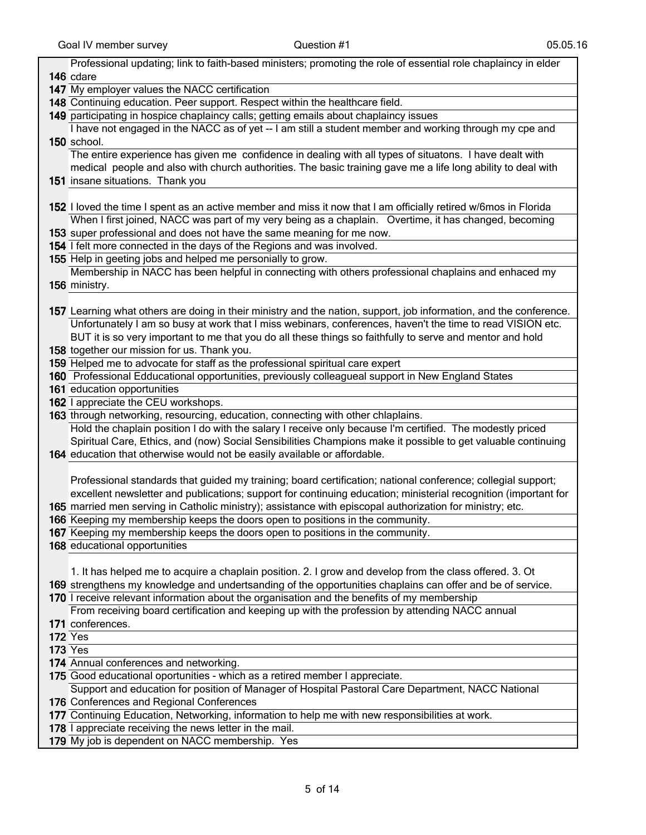| Professional updating; link to faith-based ministers; promoting the role of essential role chaplaincy in elder     |
|--------------------------------------------------------------------------------------------------------------------|
| 146 cdare                                                                                                          |
| 147 My employer values the NACC certification                                                                      |
| 148 Continuing education. Peer support. Respect within the healthcare field.                                       |
| 149 participating in hospice chaplaincy calls; getting emails about chaplaincy issues                              |
| I have not engaged in the NACC as of yet -- I am still a student member and working through my cpe and             |
| 150 school.                                                                                                        |
| The entire experience has given me confidence in dealing with all types of situatons. I have dealt with            |
| medical people and also with church authorities. The basic training gave me a life long ability to deal with       |
| 151 insane situations. Thank you                                                                                   |
|                                                                                                                    |
| 152 I loved the time I spent as an active member and miss it now that I am officially retired w/6mos in Florida    |
| When I first joined, NACC was part of my very being as a chaplain. Overtime, it has changed, becoming              |
| 153 super professional and does not have the same meaning for me now.                                              |
| 154 I felt more connected in the days of the Regions and was involved.                                             |
| 155 Help in geeting jobs and helped me personially to grow.                                                        |
| Membership in NACC has been helpful in connecting with others professional chaplains and enhaced my                |
| 156 ministry.                                                                                                      |
|                                                                                                                    |
| 157 Learning what others are doing in their ministry and the nation, support, job information, and the conference. |
| Unfortunately I am so busy at work that I miss webinars, conferences, haven't the time to read VISION etc.         |
| BUT it is so very important to me that you do all these things so faithfully to serve and mentor and hold          |
| 158 together our mission for us. Thank you.                                                                        |
| 159 Helped me to advocate for staff as the professional spiritual care expert                                      |
| 160 Professional Edducational opportunities, previously colleagueal support in New England States                  |
| 161 education opportunities                                                                                        |
| 162 I appreciate the CEU workshops.                                                                                |
| 163 through networking, resourcing, education, connecting with other chlaplains.                                   |
| Hold the chaplain position I do with the salary I receive only because I'm certified. The modestly priced          |
| Spiritual Care, Ethics, and (now) Social Sensibilities Champions make it possible to get valuable continuing       |
| 164 education that otherwise would not be easily available or affordable.                                          |
|                                                                                                                    |
| Professional standards that guided my training; board certification; national conference; collegial support;       |
| excellent newsletter and publications; support for continuing education; ministerial recognition (important for    |
| 165 married men serving in Catholic ministry); assistance with episcopal authorization for ministry; etc.          |
| 166 Keeping my membership keeps the doors open to positions in the community.                                      |
| 167 Keeping my membership keeps the doors open to positions in the community.                                      |
| 168 educational opportunities                                                                                      |
|                                                                                                                    |
| 1. It has helped me to acquire a chaplain position. 2. I grow and develop from the class offered. 3. Ot            |
| 169 strengthens my knowledge and undertsanding of the opportunities chaplains can offer and be of service.         |
| 170 I receive relevant information about the organisation and the benefits of my membership                        |
| From receiving board certification and keeping up with the profession by attending NACC annual                     |
| 171 conferences.                                                                                                   |
| <b>172 Yes</b>                                                                                                     |
| <b>173 Yes</b>                                                                                                     |
| 174 Annual conferences and networking.                                                                             |
| 175 Good educational oportunities - which as a retired member I appreciate.                                        |
| Support and education for position of Manager of Hospital Pastoral Care Department, NACC National                  |
| 176 Conferences and Regional Conferences                                                                           |
| 177 Continuing Education, Networking, information to help me with new responsibilities at work.                    |
| 178 I appreciate receiving the news letter in the mail.                                                            |
| 179 My job is dependent on NACC membership. Yes                                                                    |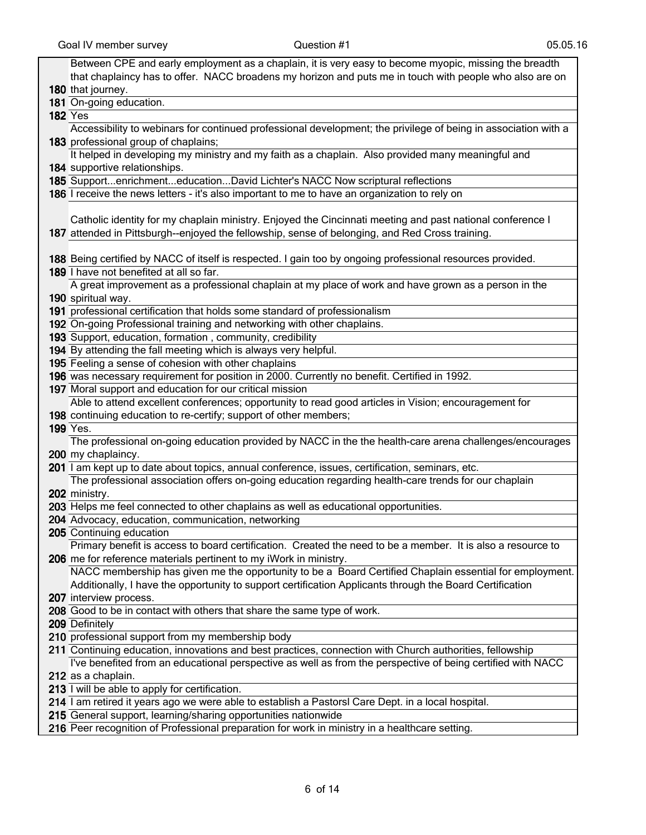| Between CPE and early employment as a chaplain, it is very easy to become myopic, missing the breadth          |
|----------------------------------------------------------------------------------------------------------------|
| that chaplaincy has to offer. NACC broadens my horizon and puts me in touch with people who also are on        |
| 180 that journey.                                                                                              |
| 181 On-going education.                                                                                        |
| <b>182 Yes</b>                                                                                                 |
| Accessibility to webinars for continued professional development; the privilege of being in association with a |
| 183 professional group of chaplains;                                                                           |
| It helped in developing my ministry and my faith as a chaplain. Also provided many meaningful and              |
| 184 supportive relationships.                                                                                  |
| 185 SupportenrichmenteducationDavid Lichter's NACC Now scriptural reflections                                  |
| 186 I receive the news letters - it's also important to me to have an organization to rely on                  |
|                                                                                                                |
| Catholic identity for my chaplain ministry. Enjoyed the Cincinnati meeting and past national conference I      |
| 187 attended in Pittsburgh--enjoyed the fellowship, sense of belonging, and Red Cross training.                |
|                                                                                                                |
| 188 Being certified by NACC of itself is respected. I gain too by ongoing professional resources provided.     |
| 189 I have not benefited at all so far.                                                                        |
| A great improvement as a professional chaplain at my place of work and have grown as a person in the           |
| 190 spiritual way.                                                                                             |
| 191 professional certification that holds some standard of professionalism                                     |
| 192 On-going Professional training and networking with other chaplains.                                        |
| 193 Support, education, formation, community, credibility                                                      |
| 194 By attending the fall meeting which is always very helpful.                                                |
| 195 Feeling a sense of cohesion with other chaplains                                                           |
| 196 was necessary requirement for position in 2000. Currently no benefit. Certified in 1992.                   |
| 197 Moral support and education for our critical mission                                                       |
| Able to attend excellent conferences; opportunity to read good articles in Vision; encouragement for           |
| 198 continuing education to re-certify; support of other members;                                              |
| <b>199 Yes.</b>                                                                                                |
| The professional on-going education provided by NACC in the the health-care arena challenges/encourages        |
| 200 my chaplaincy.                                                                                             |
| 201 I am kept up to date about topics, annual conference, issues, certification, seminars, etc.                |
| The professional association offers on-going education regarding health-care trends for our chaplain           |
| 202 ministry.                                                                                                  |
| 203 Helps me feel connected to other chaplains as well as educational opportunities.                           |
| 204 Advocacy, education, communication, networking                                                             |
| 205 Continuing education                                                                                       |
| Primary benefit is access to board certification. Created the need to be a member. It is also a resource to    |
| 206 me for reference materials pertinent to my iWork in ministry.                                              |
| NACC membership has given me the opportunity to be a Board Certified Chaplain essential for employment.        |
| Additionally, I have the opportunity to support certification Applicants through the Board Certification       |
| 207 interview process.                                                                                         |
| 208 Good to be in contact with others that share the same type of work.                                        |
| 209 Definitely                                                                                                 |
| 210 professional support from my membership body                                                               |
| 211 Continuing education, innovations and best practices, connection with Church authorities, fellowship       |
| I've benefited from an educational perspective as well as from the perspective of being certified with NACC    |
| 212 as a chaplain.                                                                                             |
| 213 I will be able to apply for certification.                                                                 |
| 214 I am retired it years ago we were able to establish a Pastorsl Care Dept. in a local hospital.             |
| 215 General support, learning/sharing opportunities nationwide                                                 |
| 216 Peer recognition of Professional preparation for work in ministry in a healthcare setting.                 |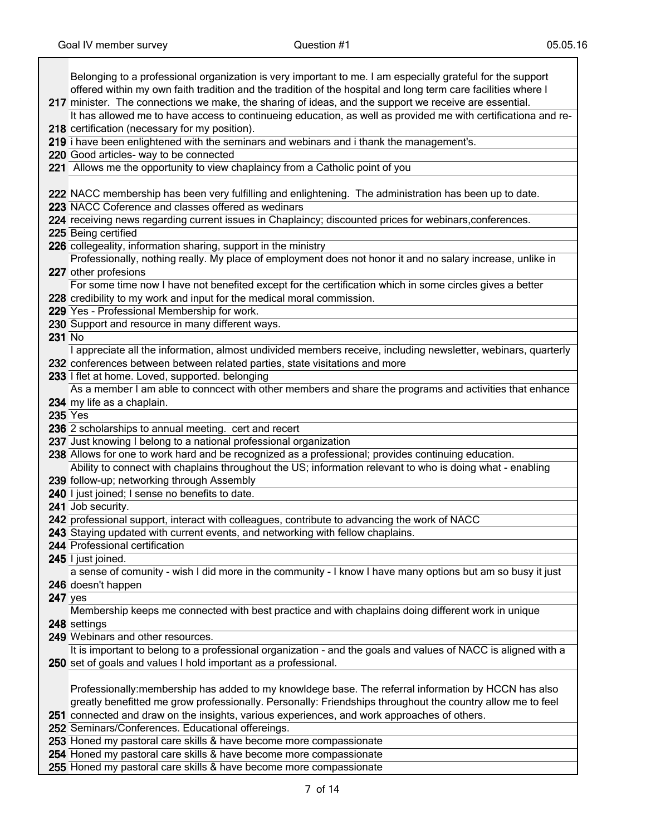**217** minister. The connections we make, the sharing of ideas, and the support we receive are essential. Belonging to a professional organization is very important to me. I am especially grateful for the support offered within my own faith tradition and the tradition of the hospital and long term care facilities where I 218 certification (necessary for my position). It has allowed me to have access to continueing education, as well as provided me with certificationa and re-219 i have been enlightened with the seminars and webinars and i thank the management's. 220 Good articles- way to be connected 221 Allows me the opportunity to view chaplaincy from a Catholic point of you 222 NACC membership has been very fulfilling and enlightening. The administration has been up to date. 223 NACC Coference and classes offered as wedinars 224 receiving news regarding current issues in Chaplaincy; discounted prices for webinars,conferences. 225 Being certified 226 collegeality, information sharing, support in the ministry 227 other profesions Professionally, nothing really. My place of employment does not honor it and no salary increase, unlike in 228 credibility to my work and input for the medical moral commission. For some time now I have not benefited except for the certification which in some circles gives a better 229 Yes - Professional Membership for work. 230 Support and resource in many different ways. 231 No 232 conferences between between related parties, state visitations and more I appreciate all the information, almost undivided members receive, including newsletter, webinars, quarterly 233 I flet at home. Loved, supported. belonging 234 my life as a chaplain. As a member I am able to conncect with other members and share the programs and activities that enhance 235 Yes 236 2 scholarships to annual meeting. cert and recert 237 Just knowing I belong to a national professional organization 238 Allows for one to work hard and be recognized as a professional; provides continuing education. 239 follow-up; networking through Assembly Ability to connect with chaplains throughout the US; information relevant to who is doing what - enabling 240 I just joined; I sense no benefits to date. 241 Job security. 242 professional support, interact with colleagues, contribute to advancing the work of NACC 243 Staying updated with current events, and networking with fellow chaplains. 244 Professional certification 245 I just joined. 246 doesn't happen a sense of comunity - wish I did more in the community - I know I have many options but am so busy it just 247 yes 248 settings Membership keeps me connected with best practice and with chaplains doing different work in unique 249 Webinars and other resources. 250 set of goals and values I hold important as a professional. It is important to belong to a professional organization - and the goals and values of NACC is aligned with a 251 connected and draw on the insights, various experiences, and work approaches of others. Professionally:membership has added to my knowldege base. The referral information by HCCN has also greatly benefitted me grow professionally. Personally: Friendships throughout the country allow me to feel 252 Seminars/Conferences. Educational offereings. 253 Honed my pastoral care skills & have become more compassionate 254 Honed my pastoral care skills & have become more compassionate 255 Honed my pastoral care skills & have become more compassionate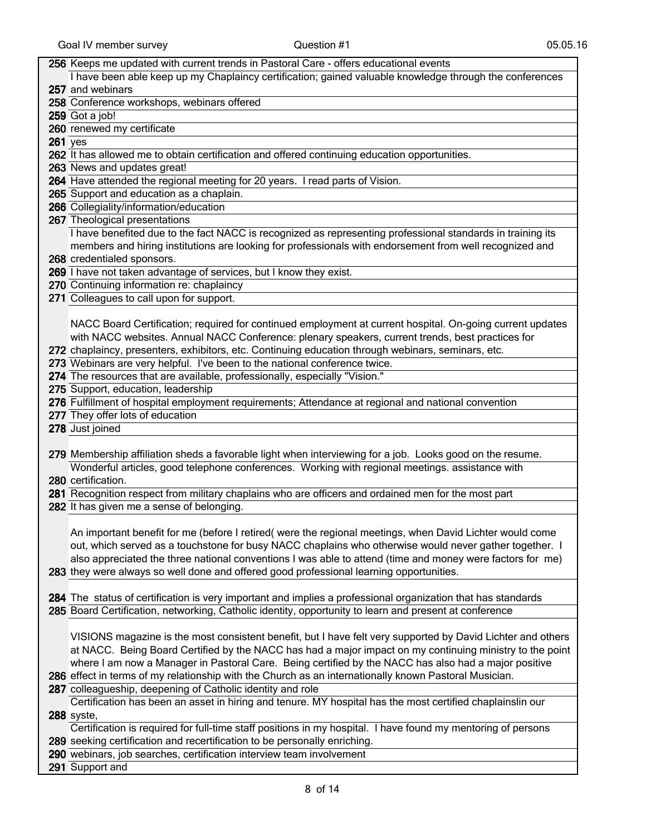## 256 Keeps me updated with current trends in Pastoral Care - offers educational events

257 and webinars I have been able keep up my Chaplaincy certification; gained valuable knowledge through the conferences

258 Conference workshops, webinars offered

259 Got a job!

260 renewed my certificate

261 yes

262 It has allowed me to obtain certification and offered continuing education opportunities.

263 News and updates great!

264 Have attended the regional meeting for 20 years. I read parts of Vision.

265 Support and education as a chaplain.

266 Collegiality/information/education

267 Theological presentations

I have benefited due to the fact NACC is recognized as representing professional standards in training its members and hiring institutions are looking for professionals with endorsement from well recognized and

268 credentialed sponsors.

269 I have not taken advantage of services, but I know they exist.

270 Continuing information re: chaplaincy

271 Colleagues to call upon for support.

NACC Board Certification; required for continued employment at current hospital. On-going current updates with NACC websites. Annual NACC Conference: plenary speakers, current trends, best practices for

272 chaplaincy, presenters, exhibitors, etc. Continuing education through webinars, seminars, etc.

273 Webinars are very helpful. I've been to the national conference twice.

274 The resources that are available, professionally, especially "Vision."

275 Support, education, leadership

276 Fulfillment of hospital employment requirements; Attendance at regional and national convention

277 They offer lots of education

278 Just joined

279 Membership affiliation sheds a favorable light when interviewing for a job. Looks good on the resume. Wonderful articles, good telephone conferences. Working with regional meetings. assistance with

280 certification.

281 Recognition respect from military chaplains who are officers and ordained men for the most part

282 It has given me a sense of belonging.

An important benefit for me (before I retired( were the regional meetings, when David Lichter would come out, which served as a touchstone for busy NACC chaplains who otherwise would never gather together. I also appreciated the three national conventions I was able to attend (time and money were factors for me)

283 they were always so well done and offered good professional learning opportunities.

284 The status of certification is very important and implies a professional organization that has standards 285 Board Certification, networking, Catholic identity, opportunity to learn and present at conference

VISIONS magazine is the most consistent benefit, but I have felt very supported by David Lichter and others at NACC. Being Board Certified by the NACC has had a major impact on my continuing ministry to the point where I am now a Manager in Pastoral Care. Being certified by the NACC has also had a major positive

286 effect in terms of my relationship with the Church as an internationally known Pastoral Musician.

287 colleagueship, deepening of Catholic identity and role

288 syste, Certification has been an asset in hiring and tenure. MY hospital has the most certified chaplainslin our

289 seeking certification and recertification to be personally enriching. Certification is required for full-time staff positions in my hospital. I have found my mentoring of persons

290 webinars, job searches, certification interview team involvement

291 Support and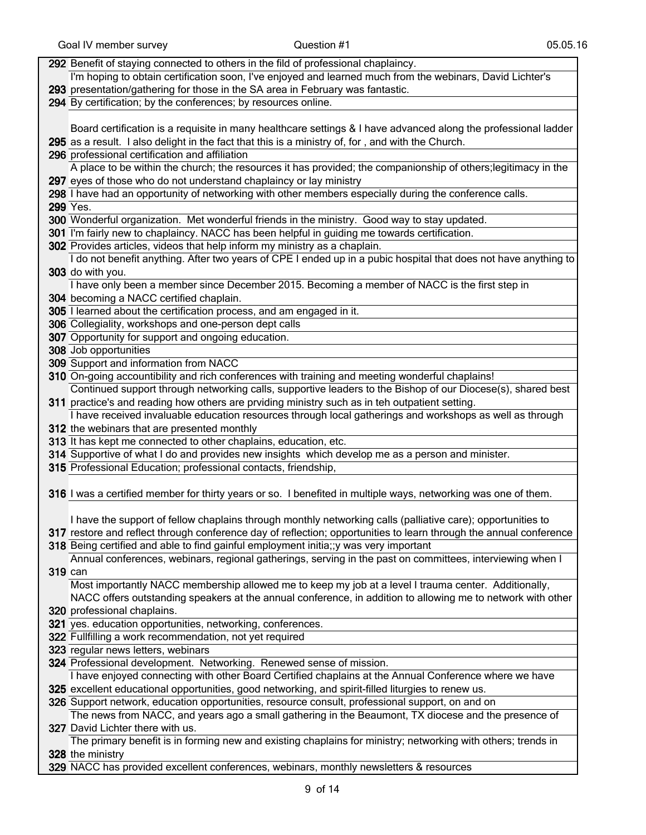|         | 292 Benefit of staying connected to others in the fild of professional chaplaincy.                                 |
|---------|--------------------------------------------------------------------------------------------------------------------|
|         | I'm hoping to obtain certification soon, I've enjoyed and learned much from the webinars, David Lichter's          |
|         | 293 presentation/gathering for those in the SA area in February was fantastic.                                     |
|         | 294 By certification; by the conferences; by resources online.                                                     |
|         |                                                                                                                    |
|         | Board certification is a requisite in many healthcare settings & I have advanced along the professional ladder     |
|         | 295 as a result. I also delight in the fact that this is a ministry of, for, and with the Church.                  |
|         | 296 professional certification and affiliation                                                                     |
|         | A place to be within the church; the resources it has provided; the companionship of others; legitimacy in the     |
|         | 297 eyes of those who do not understand chaplaincy or lay ministry                                                 |
|         | 298 I have had an opportunity of networking with other members especially during the conference calls.             |
|         | 299 Yes.                                                                                                           |
|         | 300 Wonderful organization. Met wonderful friends in the ministry. Good way to stay updated.                       |
|         | 301 I'm fairly new to chaplaincy. NACC has been helpful in guiding me towards certification.                       |
|         | 302 Provides articles, videos that help inform my ministry as a chaplain.                                          |
|         | I do not benefit anything. After two years of CPE I ended up in a pubic hospital that does not have anything to    |
|         | 303 do with you.                                                                                                   |
|         | I have only been a member since December 2015. Becoming a member of NACC is the first step in                      |
|         | 304 becoming a NACC certified chaplain.                                                                            |
|         | 305 I learned about the certification process, and am engaged in it.                                               |
|         | 306 Collegiality, workshops and one-person dept calls                                                              |
|         | 307 Opportunity for support and ongoing education.                                                                 |
|         | 308 Job opportunities                                                                                              |
|         | 309 Support and information from NACC                                                                              |
|         | 310 On-going accountibility and rich conferences with training and meeting wonderful chaplains!                    |
|         | Continued support through networking calls, supportive leaders to the Bishop of our Diocese(s), shared best        |
|         | 311 practice's and reading how others are prviding ministry such as in teh outpatient setting.                     |
|         | I have received invaluable education resources through local gatherings and workshops as well as through           |
|         | 312 the webinars that are presented monthly                                                                        |
|         | 313 It has kept me connected to other chaplains, education, etc.                                                   |
|         | 314 Supportive of what I do and provides new insights which develop me as a person and minister.                   |
|         | 315 Professional Education; professional contacts, friendship,                                                     |
|         |                                                                                                                    |
|         | 316 I was a certified member for thirty years or so. I benefited in multiple ways, networking was one of them.     |
|         |                                                                                                                    |
|         | I have the support of fellow chaplains through monthly networking calls (palliative care); opportunities to        |
|         | 317 restore and reflect through conference day of reflection; opportunities to learn through the annual conference |
|         | 318 Being certified and able to find gainful employment initia;;y was very important                               |
|         | Annual conferences, webinars, regional gatherings, serving in the past on committees, interviewing when I          |
| 319 can |                                                                                                                    |
|         | Most importantly NACC membership allowed me to keep my job at a level I trauma center. Additionally,               |
|         | NACC offers outstanding speakers at the annual conference, in addition to allowing me to network with other        |
|         | 320 professional chaplains.                                                                                        |
|         | 321 yes. education opportunities, networking, conferences.                                                         |
|         | 322 Fullfilling a work recommendation, not yet required                                                            |
|         | 323 regular news letters, webinars                                                                                 |
|         | 324 Professional development. Networking. Renewed sense of mission.                                                |
|         | I have enjoyed connecting with other Board Certified chaplains at the Annual Conference where we have              |
|         | 325 excellent educational opportunities, good networking, and spirit-filled liturgies to renew us.                 |
|         | 326 Support network, education opportunities, resource consult, professional support, on and on                    |
|         | The news from NACC, and years ago a small gathering in the Beaumont, TX diocese and the presence of                |
|         | 327 David Lichter there with us.                                                                                   |
|         | The primary benefit is in forming new and existing chaplains for ministry; networking with others; trends in       |
|         | 328 the ministry                                                                                                   |
|         |                                                                                                                    |

329 NACC has provided excellent conferences, webinars, monthly newsletters & resources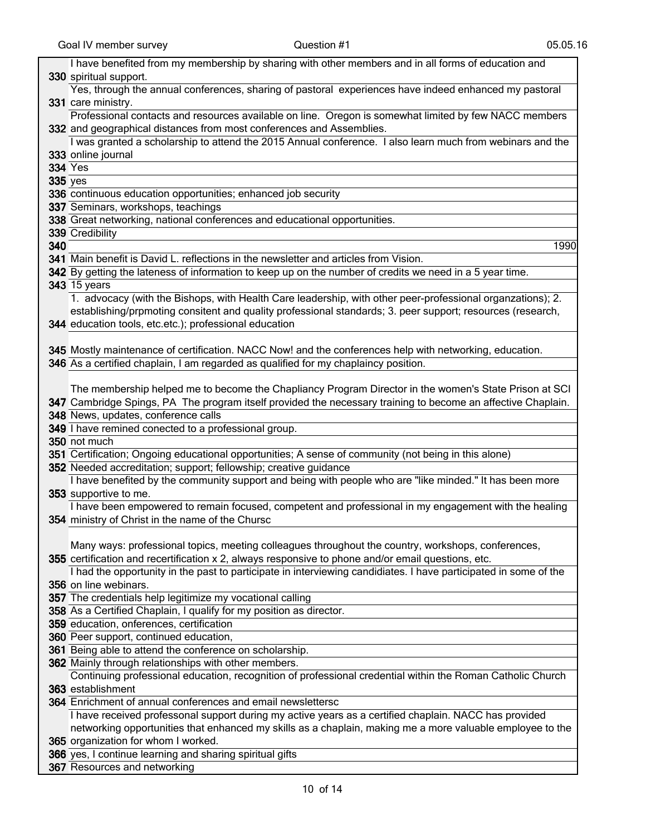|                | I have benefited from my membership by sharing with other members and in all forms of education and              |
|----------------|------------------------------------------------------------------------------------------------------------------|
|                | 330 spiritual support.                                                                                           |
|                | Yes, through the annual conferences, sharing of pastoral experiences have indeed enhanced my pastoral            |
|                | 331 care ministry.                                                                                               |
|                | Professional contacts and resources available on line. Oregon is somewhat limited by few NACC members            |
|                | 332 and geographical distances from most conferences and Assemblies.                                             |
|                | I was granted a scholarship to attend the 2015 Annual conference. I also learn much from webinars and the        |
|                | 333 online journal                                                                                               |
|                | <b>334 Yes</b>                                                                                                   |
| <b>335</b> yes |                                                                                                                  |
|                | 336 continuous education opportunities; enhanced job security                                                    |
|                | 337 Seminars, workshops, teachings                                                                               |
|                | 338 Great networking, national conferences and educational opportunities.                                        |
|                | 339 Credibility                                                                                                  |
| 340            | 1990                                                                                                             |
|                | 341 Main benefit is David L. reflections in the newsletter and articles from Vision.                             |
|                | 342 By getting the lateness of information to keep up on the number of credits we need in a 5 year time.         |
|                | <b>343</b> 15 years                                                                                              |
|                | 1. advocacy (with the Bishops, with Health Care leadership, with other peer-professional organzations); 2.       |
|                | establishing/prpmoting consitent and quality professional standards; 3. peer support; resources (research,       |
|                | 344 education tools, etc.etc.); professional education                                                           |
|                |                                                                                                                  |
|                | 345 Mostly maintenance of certification. NACC Now! and the conferences help with networking, education.          |
|                | 346 As a certified chaplain, I am regarded as qualified for my chaplaincy position.                              |
|                |                                                                                                                  |
|                | The membership helped me to become the Chapliancy Program Director in the women's State Prison at SCI            |
|                | 347 Cambridge Spings, PA The program itself provided the necessary training to become an affective Chaplain.     |
|                | 348 News, updates, conference calls                                                                              |
|                | 349 I have remined conected to a professional group.                                                             |
|                | 350 not much                                                                                                     |
|                | 351 Certification; Ongoing educational opportunities; A sense of community (not being in this alone)             |
|                | 352 Needed accreditation; support; fellowship; creative guidance                                                 |
|                | I have benefited by the community support and being with people who are "like minded." It has been more          |
|                | 353 supportive to me.                                                                                            |
|                | I have been empowered to remain focused, competent and professional in my engagement with the healing            |
|                | 354 ministry of Christ in the name of the Chursc                                                                 |
|                |                                                                                                                  |
|                | Many ways: professional topics, meeting colleagues throughout the country, workshops, conferences,               |
|                | 355 certification and recertification x 2, always responsive to phone and/or email questions, etc.               |
|                | I had the opportunity in the past to participate in interviewing candidiates. I have participated in some of the |
|                | 356 on line webinars.                                                                                            |
|                | 357 The credentials help legitimize my vocational calling                                                        |
|                | 358 As a Certified Chaplain, I qualify for my position as director.                                              |
|                | 359 education, onferences, certification                                                                         |
|                | 360 Peer support, continued education,                                                                           |
|                | 361 Being able to attend the conference on scholarship.                                                          |
|                | 362 Mainly through relationships with other members.                                                             |
|                | Continuing professional education, recognition of professional credential within the Roman Catholic Church       |
|                | 363 establishment                                                                                                |
|                | 364 Enrichment of annual conferences and email newslettersc                                                      |
|                |                                                                                                                  |
|                | I have received professonal support during my active years as a certified chaplain. NACC has provided            |
|                | networking opportunities that enhanced my skills as a chaplain, making me a more valuable employee to the        |
|                | 365 organization for whom I worked.                                                                              |
|                | 366 yes, I continue learning and sharing spiritual gifts                                                         |
|                | 367 Resources and networking                                                                                     |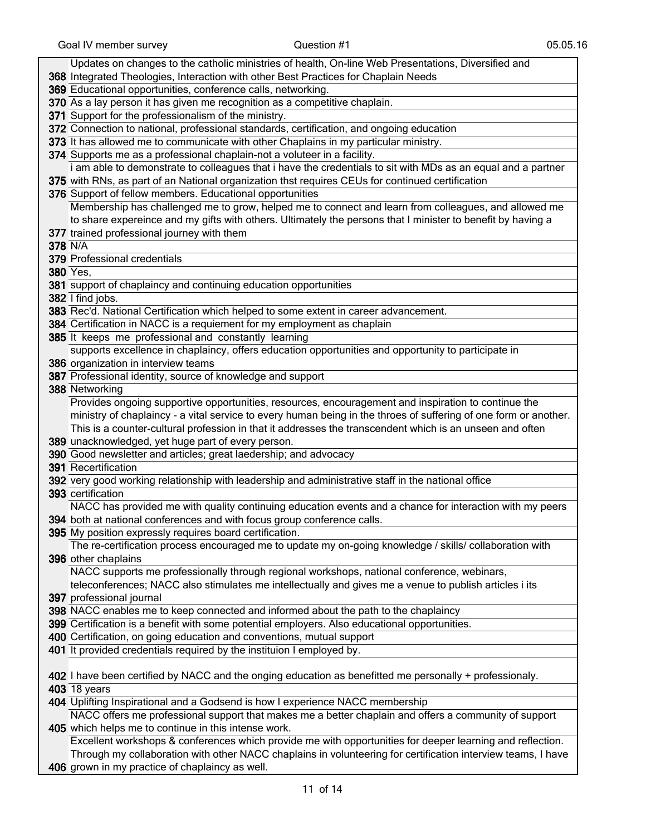| Updates on changes to the catholic ministries of health, On-line Web Presentations, Diversified and                            |
|--------------------------------------------------------------------------------------------------------------------------------|
| 368 Integrated Theologies, Interaction with other Best Practices for Chaplain Needs                                            |
| 369 Educational opportunities, conference calls, networking.                                                                   |
| 370 As a lay person it has given me recognition as a competitive chaplain.                                                     |
| 371 Support for the professionalism of the ministry.                                                                           |
| 372 Connection to national, professional standards, certification, and ongoing education                                       |
| 373 It has allowed me to communicate with other Chaplains in my particular ministry.                                           |
| 374 Supports me as a professional chaplain-not a voluteer in a facility.                                                       |
| i am able to demonstrate to colleagues that i have the credentials to sit with MDs as an equal and a partner                   |
| 375 with RNs, as part of an National organization thst requires CEUs for continued certification                               |
| 376 Support of fellow members. Educational opportunities                                                                       |
| Membership has challenged me to grow, helped me to connect and learn from colleagues, and allowed me                           |
| to share expereince and my gifts with others. Ultimately the persons that I minister to benefit by having a                    |
| 377 trained professional journey with them                                                                                     |
| 378 N/A                                                                                                                        |
| 379 Professional credentials                                                                                                   |
| <b>380 Yes,</b>                                                                                                                |
| 381 support of chaplaincy and continuing education opportunities                                                               |
| 382 I find jobs.                                                                                                               |
| 383 Rec'd. National Certification which helped to some extent in career advancement.                                           |
| 384 Certification in NACC is a requiement for my employment as chaplain                                                        |
| 385 It keeps me professional and constantly learning                                                                           |
| supports excellence in chaplaincy, offers education opportunities and opportunity to participate in                            |
| 386 organization in interview teams                                                                                            |
| 387 Professional identity, source of knowledge and support                                                                     |
| 388 Networking                                                                                                                 |
| Provides ongoing supportive opportunities, resources, encouragement and inspiration to continue the                            |
| ministry of chaplaincy - a vital service to every human being in the throes of suffering of one form or another.               |
| This is a counter-cultural profession in that it addresses the transcendent which is an unseen and often                       |
| 389 unacknowledged, yet huge part of every person.                                                                             |
| 390 Good newsletter and articles; great laedership; and advocacy                                                               |
| 391 Recertification                                                                                                            |
| 392 very good working relationship with leadership and administrative staff in the national office                             |
| 393 certification                                                                                                              |
| NACC has provided me with quality continuing education events and a chance for interaction with my peers                       |
| 394 both at national conferences and with focus group conference calls.                                                        |
| 395 My position expressly requires board certification.                                                                        |
| The re-certification process encouraged me to update my on-going knowledge / skills/ collaboration with<br>396 other chaplains |
| NACC supports me professionally through regional workshops, national conference, webinars,                                     |
| teleconferences; NACC also stimulates me intellectually and gives me a venue to publish articles i its                         |
| 397 professional journal                                                                                                       |
| 398 NACC enables me to keep connected and informed about the path to the chaplaincy                                            |
| 399 Certification is a benefit with some potential employers. Also educational opportunities.                                  |
| 400 Certification, on going education and conventions, mutual support                                                          |
| 401 It provided credentials required by the instituion I employed by.                                                          |
|                                                                                                                                |
| 402 I have been certified by NACC and the onging education as benefitted me personally + professionaly.                        |
| <b>403</b> 18 years                                                                                                            |
| 404 Uplifting Inspirational and a Godsend is how I experience NACC membership                                                  |
| NACC offers me professional support that makes me a better chaplain and offers a community of support                          |
| 405 which helps me to continue in this intense work.                                                                           |
| Excellent workshops & conferences which provide me with opportunities for deeper learning and reflection.                      |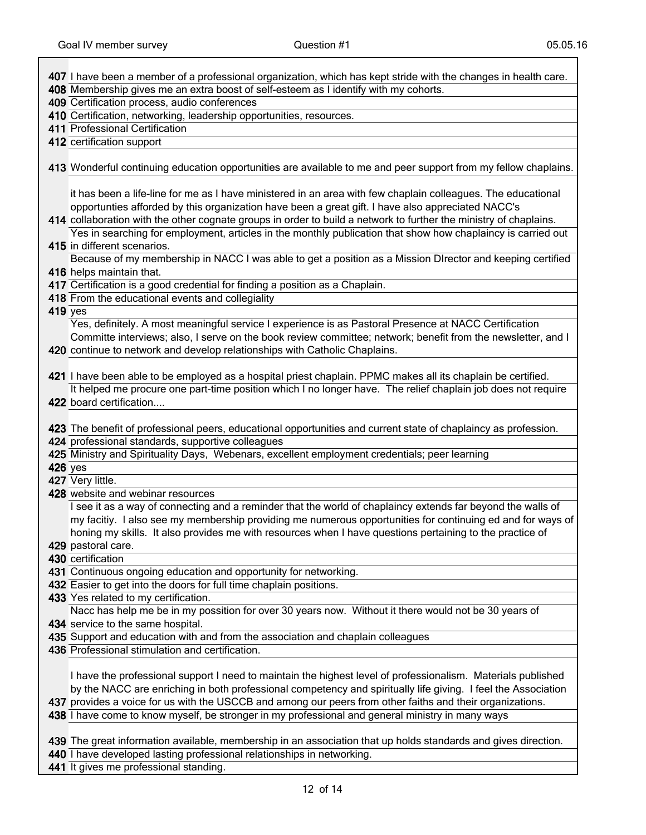┑

|                | 407 I have been a member of a professional organization, which has kept stride with the changes in health care.                                                                                               |
|----------------|---------------------------------------------------------------------------------------------------------------------------------------------------------------------------------------------------------------|
|                | 408 Membership gives me an extra boost of self-esteem as I identify with my cohorts.                                                                                                                          |
|                | 409 Certification process, audio conferences                                                                                                                                                                  |
|                | 410 Certification, networking, leadership opportunities, resources.                                                                                                                                           |
|                | 411 Professional Certification                                                                                                                                                                                |
|                | 412 certification support                                                                                                                                                                                     |
|                |                                                                                                                                                                                                               |
|                | 413 Wonderful continuing education opportunities are available to me and peer support from my fellow chaplains.                                                                                               |
|                |                                                                                                                                                                                                               |
|                | it has been a life-line for me as I have ministered in an area with few chaplain colleagues. The educational                                                                                                  |
|                | opportunties afforded by this organization have been a great gift. I have also appreciated NACC's                                                                                                             |
|                | 414 collaboration with the other cognate groups in order to build a network to further the ministry of chaplains.                                                                                             |
|                | Yes in searching for employment, articles in the monthly publication that show how chaplaincy is carried out                                                                                                  |
|                | 415 in different scenarios.                                                                                                                                                                                   |
|                | Because of my membership in NACC I was able to get a position as a Mission DIrector and keeping certified                                                                                                     |
|                | 416 helps maintain that.                                                                                                                                                                                      |
|                | 417 Certification is a good credential for finding a position as a Chaplain.                                                                                                                                  |
| <b>419</b> yes | 418 From the educational events and collegiality                                                                                                                                                              |
|                | Yes, definitely. A most meaningful service I experience is as Pastoral Presence at NACC Certification                                                                                                         |
|                | Committe interviews; also, I serve on the book review committee; network; benefit from the newsletter, and I                                                                                                  |
|                | 420 continue to network and develop relationships with Catholic Chaplains.                                                                                                                                    |
|                |                                                                                                                                                                                                               |
|                | 421 I have been able to be employed as a hospital priest chaplain. PPMC makes all its chaplain be certified.                                                                                                  |
|                | It helped me procure one part-time position which I no longer have. The relief chaplain job does not require                                                                                                  |
|                | 422 board certification                                                                                                                                                                                       |
|                |                                                                                                                                                                                                               |
|                | 423 The benefit of professional peers, educational opportunities and current state of chaplaincy as profession.                                                                                               |
|                |                                                                                                                                                                                                               |
|                | 424 professional standards, supportive colleagues                                                                                                                                                             |
|                | 425 Ministry and Spirituality Days, Webenars, excellent employment credentials; peer learning                                                                                                                 |
| <b>426</b> yes |                                                                                                                                                                                                               |
|                | 427 Very little.                                                                                                                                                                                              |
|                | 428 website and webinar resources                                                                                                                                                                             |
|                | I see it as a way of connecting and a reminder that the world of chaplaincy extends far beyond the walls of                                                                                                   |
|                | my facitiy. I also see my membership providing me numerous opportunities for continuing ed and for ways of                                                                                                    |
|                | honing my skills. It also provides me with resources when I have questions pertaining to the practice of                                                                                                      |
|                | 429 pastoral care.                                                                                                                                                                                            |
|                | 430 certification                                                                                                                                                                                             |
|                | 431 Continuous ongoing education and opportunity for networking.                                                                                                                                              |
|                | 432 Easier to get into the doors for full time chaplain positions.                                                                                                                                            |
|                | 433 Yes related to my certification.                                                                                                                                                                          |
|                | Nacc has help me be in my possition for over 30 years now. Without it there would not be 30 years of                                                                                                          |
|                | 434 service to the same hospital.                                                                                                                                                                             |
|                | 435 Support and education with and from the association and chaplain colleagues                                                                                                                               |
|                | 436 Professional stimulation and certification.                                                                                                                                                               |
|                |                                                                                                                                                                                                               |
|                | I have the professional support I need to maintain the highest level of professionalism. Materials published                                                                                                  |
|                | by the NACC are enriching in both professional competency and spiritually life giving. I feel the Association                                                                                                 |
|                | 437 provides a voice for us with the USCCB and among our peers from other faiths and their organizations.<br>438 I have come to know myself, be stronger in my professional and general ministry in many ways |
|                |                                                                                                                                                                                                               |
|                | 439 The great information available, membership in an association that up holds standards and gives direction.                                                                                                |
|                | 440 I have developed lasting professional relationships in networking.                                                                                                                                        |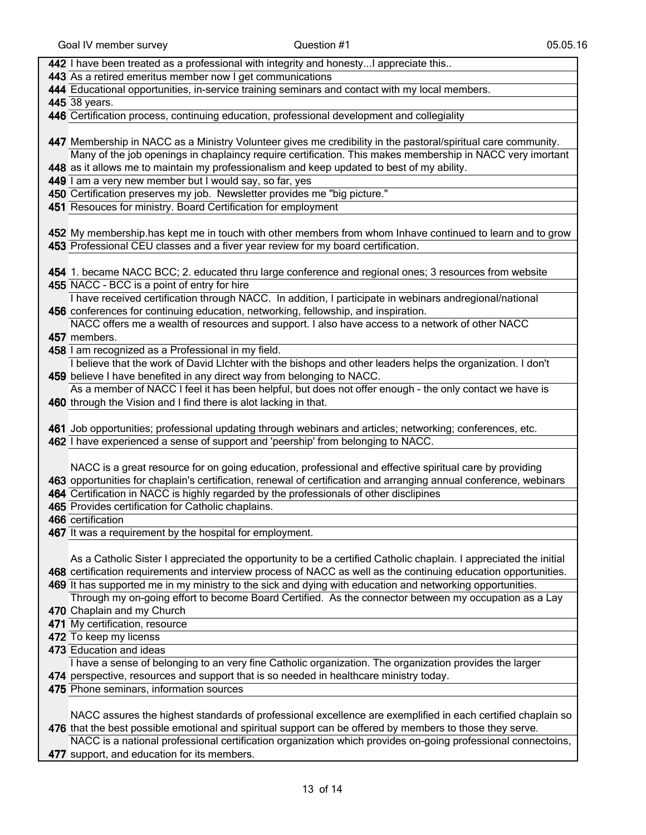| 442 I have been treated as a professional with integrity and honestyI appreciate this                              |
|--------------------------------------------------------------------------------------------------------------------|
| 443 As a retired emeritus member now I get communications                                                          |
| 444 Educational opportunities, in-service training seminars and contact with my local members.                     |
| 445 38 years.                                                                                                      |
| 446 Certification process, continuing education, professional development and collegiality                         |
|                                                                                                                    |
| 447 Membership in NACC as a Ministry Volunteer gives me credibility in the pastoral/spiritual care community.      |
| Many of the job openings in chaplaincy require certification. This makes membership in NACC very imortant          |
| 448 as it allows me to maintain my professionalism and keep updated to best of my ability.                         |
| 449 I am a very new member but I would say, so far, yes                                                            |
| 450 Certification preserves my job. Newsletter provides me "big picture."                                          |
| 451 Resouces for ministry. Board Certification for employment                                                      |
|                                                                                                                    |
| 452 My membership.has kept me in touch with other members from whom Inhave continued to learn and to grow          |
| 453 Professional CEU classes and a fiver year review for my board certification.                                   |
|                                                                                                                    |
| 454 1. became NACC BCC; 2. educated thru large conference and regional ones; 3 resources from website              |
| 455 NACC - BCC is a point of entry for hire                                                                        |
| I have received certification through NACC. In addition, I participate in webinars andregional/national            |
| 456 conferences for continuing education, networking, fellowship, and inspiration.                                 |
| NACC offers me a wealth of resources and support. I also have access to a network of other NACC                    |
| 457 members.                                                                                                       |
| 458 I am recognized as a Professional in my field.                                                                 |
| I believe that the work of David LIchter with the bishops and other leaders helps the organization. I don't        |
| 459 believe I have benefited in any direct way from belonging to NACC.                                             |
| As a member of NACC I feel it has been helpful, but does not offer enough - the only contact we have is            |
| 460 through the Vision and I find there is alot lacking in that.                                                   |
|                                                                                                                    |
| 461 Job opportunities; professional updating through webinars and articles; networking; conferences, etc.          |
| 462 I have experienced a sense of support and 'peership' from belonging to NACC.                                   |
|                                                                                                                    |
| NACC is a great resource for on going education, professional and effective spiritual care by providing            |
| 463 opportunities for chaplain's certification, renewal of certification and arranging annual conference, webinars |
| 464 Certification in NACC is highly regarded by the professionals of other disclipines                             |
| 465 Provides certification for Catholic chaplains.                                                                 |
| 466 certification                                                                                                  |
| 467 It was a requirement by the hospital for employment.                                                           |
|                                                                                                                    |
| As a Catholic Sister I appreciated the opportunity to be a certified Catholic chaplain. I appreciated the initial  |
| 468 certification requirements and interview process of NACC as well as the continuing education opportunities.    |
| 469 It has supported me in my ministry to the sick and dying with education and networking opportunities.          |
| Through my on-going effort to become Board Certified. As the connector between my occupation as a Lay              |
| 470 Chaplain and my Church                                                                                         |
| 471 My certification, resource                                                                                     |
| 472 To keep my licenss                                                                                             |
| 473 Education and ideas                                                                                            |
| I have a sense of belonging to an very fine Catholic organization. The organization provides the larger            |
| 474 perspective, resources and support that is so needed in healthcare ministry today.                             |
| 475 Phone seminars, information sources                                                                            |
|                                                                                                                    |
| NACC assures the highest standards of professional excellence are exemplified in each certified chaplain so        |
| 476 that the best possible emotional and spiritual support can be offered by members to those they serve.          |
| NACC is a national professional certification organization which provides on-going professional connectoins,       |
|                                                                                                                    |

477 support, and education for its members.